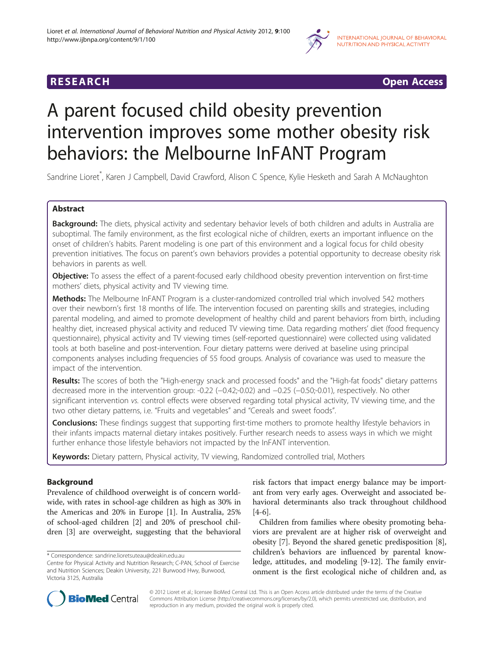

**RESEARCH RESEARCH CONSUMING ACCESS** 

# A parent focused child obesity prevention intervention improves some mother obesity risk behaviors: the Melbourne InFANT Program

Sandrine Lioret<sup>\*</sup>, Karen J Campbell, David Crawford, Alison C Spence, Kylie Hesketh and Sarah A McNaughton

# Abstract

Background: The diets, physical activity and sedentary behavior levels of both children and adults in Australia are suboptimal. The family environment, as the first ecological niche of children, exerts an important influence on the onset of children's habits. Parent modeling is one part of this environment and a logical focus for child obesity prevention initiatives. The focus on parent's own behaviors provides a potential opportunity to decrease obesity risk behaviors in parents as well.

**Objective:** To assess the effect of a parent-focused early childhood obesity prevention intervention on first-time mothers' diets, physical activity and TV viewing time.

Methods: The Melbourne InFANT Program is a cluster-randomized controlled trial which involved 542 mothers over their newborn's first 18 months of life. The intervention focused on parenting skills and strategies, including parental modeling, and aimed to promote development of healthy child and parent behaviors from birth, including healthy diet, increased physical activity and reduced TV viewing time. Data regarding mothers' diet (food frequency questionnaire), physical activity and TV viewing times (self-reported questionnaire) were collected using validated tools at both baseline and post-intervention. Four dietary patterns were derived at baseline using principal components analyses including frequencies of 55 food groups. Analysis of covariance was used to measure the impact of the intervention.

Results: The scores of both the "High-energy snack and processed foods" and the "High-fat foods" dietary patterns decreased more in the intervention group: -0.22 (−0.42;-0.02) and −0.25 (−0.50;-0.01), respectively. No other significant intervention vs. control effects were observed regarding total physical activity, TV viewing time, and the two other dietary patterns, i.e. "Fruits and vegetables" and "Cereals and sweet foods".

**Conclusions:** These findings suggest that supporting first-time mothers to promote healthy lifestyle behaviors in their infants impacts maternal dietary intakes positively. Further research needs to assess ways in which we might further enhance those lifestyle behaviors not impacted by the InFANT intervention.

Keywords: Dietary pattern, Physical activity, TV viewing, Randomized controlled trial, Mothers

# Background

Prevalence of childhood overweight is of concern worldwide, with rates in school-age children as high as 30% in the Americas and 20% in Europe [[1\]](#page-8-0). In Australia, 25% of school-aged children [\[2\]](#page-8-0) and 20% of preschool children [[3\]](#page-8-0) are overweight, suggesting that the behavioral risk factors that impact energy balance may be important from very early ages. Overweight and associated behavioral determinants also track throughout childhood [[4-6](#page-8-0)].

Children from families where obesity promoting behaviors are prevalent are at higher risk of overweight and obesity [[7](#page-8-0)]. Beyond the shared genetic predisposition [\[8](#page-8-0)], children's behaviors are influenced by parental knowledge, attitudes, and modeling [[9-12](#page-8-0)]. The family environment is the first ecological niche of children and, as



© 2012 Lioret et al.; licensee BioMed Central Ltd. This is an Open Access article distributed under the terms of the Creative Commons Attribution License [\(http://creativecommons.org/licenses/by/2.0\)](http://creativecommons.org/licenses/by/2.0), which permits unrestricted use, distribution, and reproduction in any medium, provided the original work is properly cited.

<sup>\*</sup> Correspondence: [sandrine.lioretsuteau@deakin.edu.au](mailto:sandrine.lioretsuteau@deakin.edu.au)

Centre for Physical Activity and Nutrition Research; C-PAN, School of Exercise and Nutrition Sciences; Deakin University, 221 Burwood Hwy, Burwood, Victoria 3125, Australia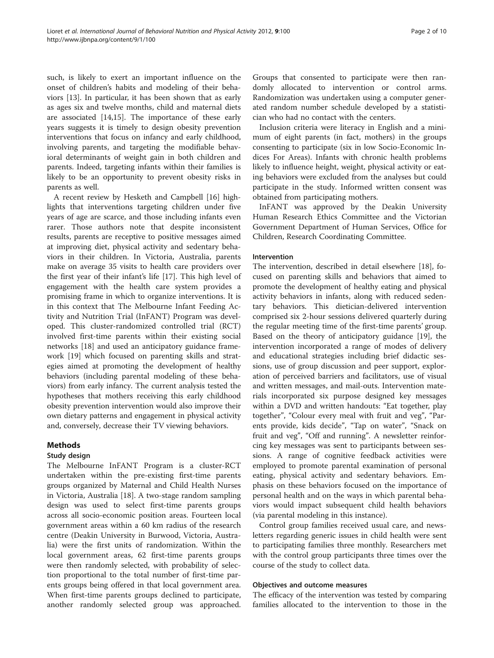such, is likely to exert an important influence on the onset of children's habits and modeling of their behaviors [\[13](#page-9-0)]. In particular, it has been shown that as early as ages six and twelve months, child and maternal diets are associated [[14,15](#page-9-0)]. The importance of these early years suggests it is timely to design obesity prevention interventions that focus on infancy and early childhood, involving parents, and targeting the modifiable behavioral determinants of weight gain in both children and parents. Indeed, targeting infants within their families is likely to be an opportunity to prevent obesity risks in parents as well.

A recent review by Hesketh and Campbell [\[16\]](#page-9-0) highlights that interventions targeting children under five years of age are scarce, and those including infants even rarer. Those authors note that despite inconsistent results, parents are receptive to positive messages aimed at improving diet, physical activity and sedentary behaviors in their children. In Victoria, Australia, parents make on average 35 visits to health care providers over the first year of their infant's life [[17\]](#page-9-0). This high level of engagement with the health care system provides a promising frame in which to organize interventions. It is in this context that The Melbourne Infant Feeding Activity and Nutrition Trial (InFANT) Program was developed. This cluster-randomized controlled trial (RCT) involved first-time parents within their existing social networks [[18\]](#page-9-0) and used an anticipatory guidance framework [[19\]](#page-9-0) which focused on parenting skills and strategies aimed at promoting the development of healthy behaviors (including parental modeling of these behaviors) from early infancy. The current analysis tested the hypotheses that mothers receiving this early childhood obesity prevention intervention would also improve their own dietary patterns and engagement in physical activity and, conversely, decrease their TV viewing behaviors.

# Methods

#### Study design

The Melbourne InFANT Program is a cluster-RCT undertaken within the pre-existing first-time parents groups organized by Maternal and Child Health Nurses in Victoria, Australia [[18](#page-9-0)]. A two-stage random sampling design was used to select first-time parents groups across all socio-economic position areas. Fourteen local government areas within a 60 km radius of the research centre (Deakin University in Burwood, Victoria, Australia) were the first units of randomization. Within the local government areas, 62 first-time parents groups were then randomly selected, with probability of selection proportional to the total number of first-time parents groups being offered in that local government area. When first-time parents groups declined to participate, another randomly selected group was approached.

Groups that consented to participate were then randomly allocated to intervention or control arms. Randomization was undertaken using a computer generated random number schedule developed by a statistician who had no contact with the centers.

Inclusion criteria were literacy in English and a minimum of eight parents (in fact, mothers) in the groups consenting to participate (six in low Socio-Economic Indices For Areas). Infants with chronic health problems likely to influence height, weight, physical activity or eating behaviors were excluded from the analyses but could participate in the study. Informed written consent was obtained from participating mothers.

InFANT was approved by the Deakin University Human Research Ethics Committee and the Victorian Government Department of Human Services, Office for Children, Research Coordinating Committee.

#### Intervention

The intervention, described in detail elsewhere [\[18\]](#page-9-0), focused on parenting skills and behaviors that aimed to promote the development of healthy eating and physical activity behaviors in infants, along with reduced sedentary behaviors. This dietician-delivered intervention comprised six 2-hour sessions delivered quarterly during the regular meeting time of the first-time parents' group. Based on the theory of anticipatory guidance [[19\]](#page-9-0), the intervention incorporated a range of modes of delivery and educational strategies including brief didactic sessions, use of group discussion and peer support, exploration of perceived barriers and facilitators, use of visual and written messages, and mail-outs. Intervention materials incorporated six purpose designed key messages within a DVD and written handouts: "Eat together, play together", "Colour every meal with fruit and veg", "Parents provide, kids decide", "Tap on water", "Snack on fruit and veg", "Off and running". A newsletter reinforcing key messages was sent to participants between sessions. A range of cognitive feedback activities were employed to promote parental examination of personal eating, physical activity and sedentary behaviors. Emphasis on these behaviors focused on the importance of personal health and on the ways in which parental behaviors would impact subsequent child health behaviors (via parental modeling in this instance).

Control group families received usual care, and newsletters regarding generic issues in child health were sent to participating families three monthly. Researchers met with the control group participants three times over the course of the study to collect data.

#### Objectives and outcome measures

The efficacy of the intervention was tested by comparing families allocated to the intervention to those in the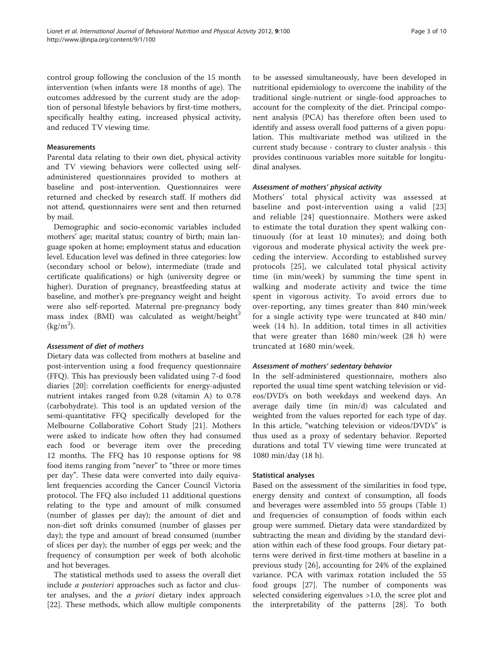control group following the conclusion of the 15 month intervention (when infants were 18 months of age). The outcomes addressed by the current study are the adoption of personal lifestyle behaviors by first-time mothers, specifically healthy eating, increased physical activity, and reduced TV viewing time.

#### Measurements

Parental data relating to their own diet, physical activity and TV viewing behaviors were collected using selfadministered questionnaires provided to mothers at baseline and post-intervention. Questionnaires were returned and checked by research staff. If mothers did not attend, questionnaires were sent and then returned by mail.

Demographic and socio-economic variables included mothers' age; marital status; country of birth; main language spoken at home; employment status and education level. Education level was defined in three categories: low (secondary school or below), intermediate (trade and certificate qualifications) or high (university degree or higher). Duration of pregnancy, breastfeeding status at baseline, and mother's pre-pregnancy weight and height were also self-reported. Maternal pre-pregnancy body mass index (BMI) was calculated as weight/height $^2$  $(kg/m<sup>2</sup>)$ .

#### Assessment of diet of mothers

Dietary data was collected from mothers at baseline and post-intervention using a food frequency questionnaire (FFQ). This has previously been validated using 7-d food diaries [[20\]](#page-9-0): correlation coefficients for energy-adjusted nutrient intakes ranged from 0.28 (vitamin A) to 0.78 (carbohydrate). This tool is an updated version of the semi-quantitative FFQ specifically developed for the Melbourne Collaborative Cohort Study [[21\]](#page-9-0). Mothers were asked to indicate how often they had consumed each food or beverage item over the preceding 12 months. The FFQ has 10 response options for 98 food items ranging from "never" to "three or more times per day". These data were converted into daily equivalent frequencies according the Cancer Council Victoria protocol. The FFQ also included 11 additional questions relating to the type and amount of milk consumed (number of glasses per day); the amount of diet and non-diet soft drinks consumed (number of glasses per day); the type and amount of bread consumed (number of slices per day); the number of eggs per week; and the frequency of consumption per week of both alcoholic and hot beverages.

The statistical methods used to assess the overall diet include *a posteriori* approaches such as factor and cluster analyses, and the *a priori* dietary index approach [[22\]](#page-9-0). These methods, which allow multiple components

to be assessed simultaneously, have been developed in nutritional epidemiology to overcome the inability of the traditional single-nutrient or single-food approaches to account for the complexity of the diet. Principal component analysis (PCA) has therefore often been used to identify and assess overall food patterns of a given population. This multivariate method was utilized in the current study because - contrary to cluster analysis - this provides continuous variables more suitable for longitudinal analyses.

#### Assessment of mothers' physical activity

Mothers' total physical activity was assessed at baseline and post-intervention using a valid [[23](#page-9-0)] and reliable [[24](#page-9-0)] questionnaire. Mothers were asked to estimate the total duration they spent walking continuously (for at least 10 minutes); and doing both vigorous and moderate physical activity the week preceding the interview. According to established survey protocols [[25\]](#page-9-0), we calculated total physical activity time (in min/week) by summing the time spent in walking and moderate activity and twice the time spent in vigorous activity. To avoid errors due to over-reporting, any times greater than 840 min/week for a single activity type were truncated at 840 min/ week (14 h). In addition, total times in all activities that were greater than 1680 min/week (28 h) were truncated at 1680 min/week.

# Assessment of mothers' sedentary behavior

In the self-administered questionnaire, mothers also reported the usual time spent watching television or videos/DVD's on both weekdays and weekend days. An average daily time (in min/d) was calculated and weighted from the values reported for each type of day. In this article, "watching television or videos/DVD's" is thus used as a proxy of sedentary behavior. Reported durations and total TV viewing time were truncated at 1080 min/day (18 h).

#### Statistical analyses

Based on the assessment of the similarities in food type, energy density and context of consumption, all foods and beverages were assembled into 55 groups (Table [1](#page-3-0)) and frequencies of consumption of foods within each group were summed. Dietary data were standardized by subtracting the mean and dividing by the standard deviation within each of these food groups. Four dietary patterns were derived in first-time mothers at baseline in a previous study [[26\]](#page-9-0), accounting for 24% of the explained variance. PCA with varimax rotation included the 55 food groups [[27](#page-9-0)]. The number of components was selected considering eigenvalues >1.0, the scree plot and the interpretability of the patterns [[28](#page-9-0)]. To both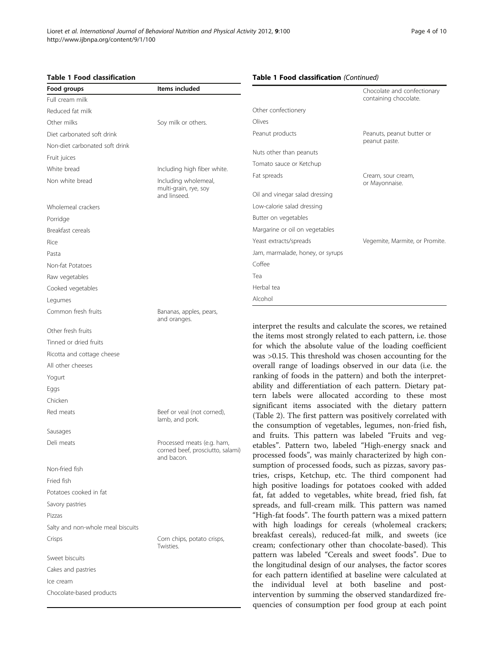and oranges.

#### <span id="page-3-0"></span>Table 1 Food classification

Other fresh fruits Tinned or dried fruits Ricotta and cottage cheese

All other cheeses

Yogurt Eggs

Common fresh fruits Bananas, apples, pears,

| Food groups                    | Items included                                |                                  | Chocolate and confectionary          |
|--------------------------------|-----------------------------------------------|----------------------------------|--------------------------------------|
| Full cream milk                |                                               |                                  | containing chocolate.                |
| Reduced fat milk               |                                               | Other confectionery              |                                      |
| Other milks                    | Soy milk or others.                           | Olives                           |                                      |
| Diet carbonated soft drink     |                                               | Peanut products                  | Peanuts, peanut butter or            |
| Non-diet carbonated soft drink |                                               |                                  | peanut paste.                        |
| Fruit juices                   |                                               | Nuts other than peanuts          |                                      |
| White bread                    | Including high fiber white.                   | Tomato sauce or Ketchup          |                                      |
| Non white bread                | Including wholemeal,<br>multi-grain, rye, soy | Fat spreads                      | Cream, sour cream.<br>or Mayonnaise. |
|                                | and linseed.                                  | Oil and vinegar salad dressing   |                                      |
| Wholemeal crackers             |                                               | Low-calorie salad dressing       |                                      |
| Porridge                       |                                               | Butter on vegetables             |                                      |
| Breakfast cereals              |                                               | Margarine or oil on vegetables   |                                      |
| Rice                           |                                               | Yeast extracts/spreads           | Vegemite, Marmite, or Promite.       |
| Pasta                          |                                               | Jam, marmalade, honey, or syrups |                                      |
| Non-fat Potatoes               |                                               | Coffee                           |                                      |
| Raw vegetables                 |                                               | Tea                              |                                      |
| Cooked vegetables              |                                               | Herbal tea                       |                                      |
| Legumes                        |                                               | Alcohol                          |                                      |

interpret the results and calculate the scores, we retained the items most strongly related to each pattern, i.e. those

for which the absolute value of the loading coefficient was >0.15. This threshold was chosen accounting for the overall range of loadings observed in our data (i.e. the ranking of foods in the pattern) and both the interpretability and differentiation of each pattern. Dietary pattern labels were allocated according to these most significant items associated with the dietary pattern (Table [2](#page-4-0)). The first pattern was positively correlated with the consumption of vegetables, legumes, non-fried fish, and fruits. This pattern was labeled "Fruits and vegetables". Pattern two, labeled "High-energy snack and processed foods", was mainly characterized by high consumption of processed foods, such as pizzas, savory pastries, crisps, Ketchup, etc. The third component had high positive loadings for potatoes cooked with added fat, fat added to vegetables, white bread, fried fish, fat spreads, and full-cream milk. This pattern was named "High-fat foods". The fourth pattern was a mixed pattern with high loadings for cereals (wholemeal crackers; breakfast cereals), reduced-fat milk, and sweets (ice cream; confectionary other than chocolate-based). This pattern was labeled "Cereals and sweet foods". Due to the longitudinal design of our analyses, the factor scores for each pattern identified at baseline were calculated at the individual level at both baseline and post-

intervention by summing the observed standardized frequencies of consumption per food group at each point

Chicken Red meats Beef or veal (not corned), Sausages Deli meats Processed meats (e.g. ham, and bacon. Non-fried fish Fried fish Potatoes cooked in fat Savory pastries Pizzas Salty and non-whole meal biscuits Crisps Corn chips, potato crisps, **Twisties** Sweet biscuits Cakes and pastries

Ice cream

Chocolate-based products

lamb, and pork.

corned beef, prosciutto, salami)

# Table 1 Food classification (Continued)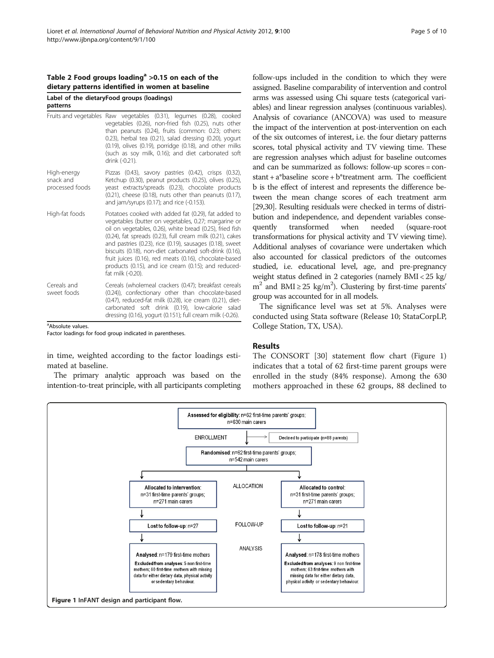#### <span id="page-4-0"></span>Table 2 Food groups loading<sup>a</sup>  $>0.15$  on each of the dietary patterns identified in women at baseline

| patterns                                    | Label of the dietaryFood groups (loadings)                                                                                                                                                                                                                                                                                                                                                                                                                                                        |
|---------------------------------------------|---------------------------------------------------------------------------------------------------------------------------------------------------------------------------------------------------------------------------------------------------------------------------------------------------------------------------------------------------------------------------------------------------------------------------------------------------------------------------------------------------|
|                                             | Fruits and vegetables Raw vegetables (0.31), legumes (0.28), cooked<br>vegetables (0.26), non-fried fish (0.25), nuts other<br>than peanuts (0.24), fruits (common: 0.23; others:<br>0.23), herbal tea (0.21), salad dressing (0.20), yogurt<br>(0.19), olives (0.19), porridge (0.18), and other milks<br>(such as soy milk, 0.16); and diet carbonated soft<br>drink (-0.21).                                                                                                                   |
| High-energy<br>snack and<br>processed foods | Pizzas (0.43), savory pastries (0.42), crisps (0.32),<br>Ketchup (0.30), peanut products (0.25), olives (0.25),<br>yeast extracts/spreads (0.23), chocolate products<br>(0.21), cheese (0.18), nuts other than peanuts (0.17),<br>and jam/syrups (0.17); and rice (-0.153).                                                                                                                                                                                                                       |
| High-fat foods                              | Potatoes cooked with added fat (0.29), fat added to<br>vegetables (butter on vegetables, 0.27; margarine or<br>oil on vegetables, 0.26), white bread (0.25), fried fish<br>(0.24), fat spreads (0.23), full cream milk (0.21), cakes<br>and pastries (0.23), rice (0.19), sausages (0.18), sweet<br>biscuits (0.18), non-diet carbonated soft-drink (0.16),<br>fruit juices (0.16), red meats (0.16), chocolate-based<br>products (0.15), and ice cream (0.15); and reduced-<br>fat milk (-0.20). |
| Cereals and<br>sweet foods                  | Cereals (wholemeal crackers (0.47); breakfast cereals<br>(0.24)), confectionary other than chocolate-based<br>(0.47), reduced-fat milk (0.28), ice cream (0.21), diet-<br>carbonated soft drink (0.19), low-calorie salad<br>dressing (0.16), yogurt (0.151); full cream milk (-0.26).                                                                                                                                                                                                            |
| <sup>a</sup> Absolute values.               |                                                                                                                                                                                                                                                                                                                                                                                                                                                                                                   |

in time, weighted according to the factor loadings esti-

The primary analytic approach was based on the intention-to-treat principle, with all participants completing

Factor loadings for food group indicated in parentheses.

mated at baseline.

follow-ups included in the condition to which they were assigned. Baseline comparability of intervention and control arms was assessed using Chi square tests (categorical variables) and linear regression analyses (continuous variables). Analysis of covariance (ANCOVA) was used to measure the impact of the intervention at post-intervention on each of the six outcomes of interest, i.e. the four dietary patterns scores, total physical activity and TV viewing time. These are regression analyses which adjust for baseline outcomes and can be summarized as follows: follow-up scores = constant + a\*baseline score + b\*treatment arm. The coefficient b is the effect of interest and represents the difference between the mean change scores of each treatment arm [[29,30\]](#page-9-0). Resulting residuals were checked in terms of distribution and independence, and dependent variables consequently transformed when needed (square-root transformations for physical activity and TV viewing time). Additional analyses of covariance were undertaken which also accounted for classical predictors of the outcomes studied, i.e. educational level, age, and pre-pregnancy weight status defined in 2 categories (namely BMI < 25 kg/ m<sup>2</sup> and BMI ≥ 25 kg/m<sup>2</sup>). Clustering by first-time parents' group was accounted for in all models.

The significance level was set at 5%. Analyses were conducted using Stata software (Release 10; StataCorpLP, College Station, TX, USA).

# Results

The CONSORT [\[30\]](#page-9-0) statement flow chart (Figure 1) indicates that a total of 62 first-time parent groups were enrolled in the study (84% response). Among the 630 mothers approached in these 62 groups, 88 declined to

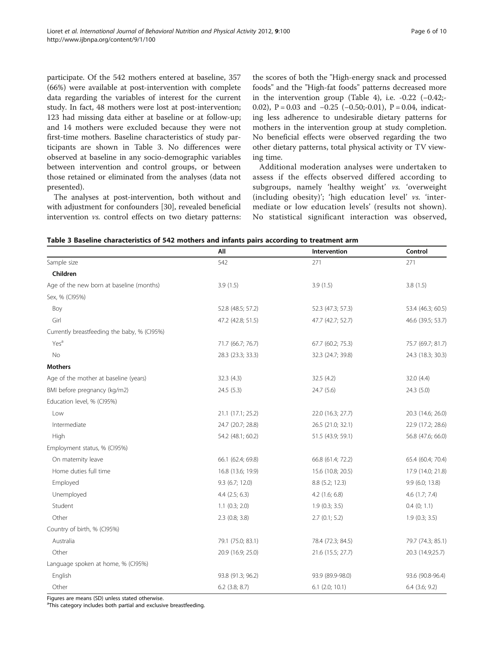participate. Of the 542 mothers entered at baseline, 357 (66%) were available at post-intervention with complete data regarding the variables of interest for the current study. In fact, 48 mothers were lost at post-intervention; 123 had missing data either at baseline or at follow-up; and 14 mothers were excluded because they were not first-time mothers. Baseline characteristics of study participants are shown in Table 3. No differences were observed at baseline in any socio-demographic variables between intervention and control groups, or between those retained or eliminated from the analyses (data not presented).

The analyses at post-intervention, both without and with adjustment for confounders [\[30](#page-9-0)], revealed beneficial intervention vs. control effects on two dietary patterns:

the scores of both the "High-energy snack and processed foods" and the "High-fat foods" patterns decreased more in the intervention group (Table [4](#page-6-0)), i.e. -0.22 (−0.42;- 0.02), P = 0.03 and −0.25 (−0.50;-0.01), P = 0.04, indicating less adherence to undesirable dietary patterns for mothers in the intervention group at study completion. No beneficial effects were observed regarding the two other dietary patterns, total physical activity or TV viewing time.

Additional moderation analyses were undertaken to assess if the effects observed differed according to subgroups, namely 'healthy weight' vs. 'overweight (including obesity)'; 'high education level' vs. 'intermediate or low education levels' (results not shown). No statistical significant interaction was observed,

| Table 3 Baseline characteristics of 542 mothers and infants pairs according to treatment arm |  |
|----------------------------------------------------------------------------------------------|--|
|----------------------------------------------------------------------------------------------|--|

|                                             | All               | Intervention      | Control           |
|---------------------------------------------|-------------------|-------------------|-------------------|
| Sample size                                 | 542               | 271               | 271               |
| Children                                    |                   |                   |                   |
| Age of the new born at baseline (months)    | 3.9(1.5)          | 3.9(1.5)          | 3.8(1.5)          |
| Sex, % (CI95%)                              |                   |                   |                   |
| Boy                                         | 52.8 (48.5; 57.2) | 52.3 (47.3; 57.3) | 53.4 (46.3; 60.5) |
| Girl                                        | 47.2 (42.8; 51.5) | 47.7 (42.7; 52.7) | 46.6 (39.5; 53.7) |
| Currently breastfeeding the baby, % (CI95%) |                   |                   |                   |
| Yes <sup>a</sup>                            | 71.7 (66.7; 76.7) | 67.7 (60.2; 75.3) | 75.7 (69.7; 81.7) |
| <b>No</b>                                   | 28.3 (23.3; 33.3) | 32.3 (24.7; 39.8) | 24.3 (18.3; 30.3) |
| <b>Mothers</b>                              |                   |                   |                   |
| Age of the mother at baseline (years)       | 32.3(4.3)         | 32.5(4.2)         | 32.0(4.4)         |
| BMI before pregnancy (kg/m2)                | 24.5(5.3)         | 24.7 (5.6)        | 24.3(5.0)         |
| Education level, % (CI95%)                  |                   |                   |                   |
| Low                                         | 21.1 (17.1; 25.2) | 22.0 (16.3; 27.7) | 20.3 (14.6; 26.0) |
| Intermediate                                | 24.7 (20.7; 28.8) | 26.5 (21.0; 32.1) | 22.9 (17.2; 28.6) |
| High                                        | 54.2 (48.1; 60.2) | 51.5 (43.9; 59.1) | 56.8 (47.6; 66.0) |
| Employment status, % (CI95%)                |                   |                   |                   |
| On maternity leave                          | 66.1 (62.4; 69.8) | 66.8 (61.4; 72.2) | 65.4 (60.4; 70.4) |
| Home duties full time                       | 16.8 (13.6; 19.9) | 15.6 (10.8; 20.5) | 17.9 (14.0; 21.8) |
| Employed                                    | 9.3 (6.7; 12.0)   | 8.8 (5.2; 12.3)   | 9.9 (6.0; 13.8)   |
| Unemployed                                  | $4.4$ (2.5; 6.3)  | $4.2$ (1.6; 6.8)  | 4.6 $(1.7; 7.4)$  |
| Student                                     | $1.1$ (0.3; 2.0)  | 1.9(0.3; 3.5)     | $0.4$ $(0; 1.1)$  |
| Other                                       | 2.3 (0.8; 3.8)    | 2.7(0.1; 5.2)     | 1.9(0.3; 3.5)     |
| Country of birth, % (CI95%)                 |                   |                   |                   |
| Australia                                   | 79.1 (75.0; 83.1) | 78.4 (72.3; 84.5) | 79.7 (74.3; 85.1) |
| Other                                       | 20.9 (16.9; 25.0) | 21.6 (15.5; 27.7) | 20.3 (14.9;25.7)  |
| Language spoken at home, % (CI95%)          |                   |                   |                   |
| English                                     | 93.8 (91.3; 96.2) | 93.9 (89.9-98.0)  | 93.6 (90.8-96.4)  |
| Other                                       | $6.2$ (3.8; 8.7)  | $6.1$ (2.0; 10.1) | $6.4$ (3.6; 9.2)  |

Figures are means (SD) unless stated otherwise.

<sup>a</sup>This category includes both partial and exclusive breastfeeding.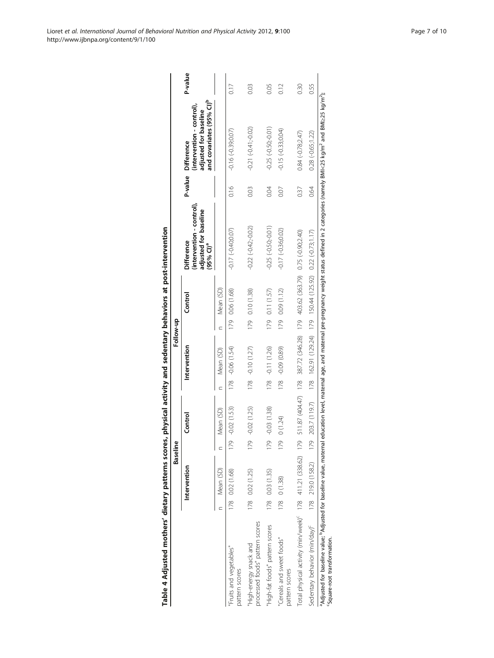<span id="page-6-0"></span>

|                                                                                                                             | Intervention    |     | Control       | Intervention       |     | Control                                                                   | $(intervention - control)$<br>adjusted for baseline<br><b>Difference</b><br>$(95%$ CI) <sup>a</sup> | P-value | and covariates (95% CI) <sup>p</sup><br>(intervention - control),<br>adjusted for baseline<br><b>Difference</b>                                                  | P-value |
|-----------------------------------------------------------------------------------------------------------------------------|-----------------|-----|---------------|--------------------|-----|---------------------------------------------------------------------------|-----------------------------------------------------------------------------------------------------|---------|------------------------------------------------------------------------------------------------------------------------------------------------------------------|---------|
|                                                                                                                             | Mean (SD)       |     | Mean (SD)     | Mean (SD)          |     | Mean (SD)                                                                 |                                                                                                     |         |                                                                                                                                                                  |         |
| "Fruits and vegetables"<br>pattern scores                                                                                   | 178 0.02 (1.68) | 179 | $-0.02(1.53)$ | 178 -0.06 (1.54)   |     | 179 0.06 (1.68)                                                           | $-0.17(-0.40;0.07)$                                                                                 | 0.16    | $-0.16(-0.39, 0.07)$                                                                                                                                             |         |
| processed foods" pattern scores<br>High-energy snack and                                                                    | 178 0.02 (1.25) | iza | $-0.02(1.25)$ | $178 - 0.10(1.27)$ |     | 179 0.10 (1.38)                                                           | $-0.22(-0.42,-0.02)$                                                                                | 0.03    | $-0.21(-0.41,-0.02)$                                                                                                                                             | 0.03    |
| "High-fat foods" pattern scores                                                                                             | 178 0.03 (1.35) | 179 | $-0.03(1.38)$ | 178 -0.11 (1.26)   |     | 179 0.11 (1.57)                                                           | $-0.25(-0.50,-0.01)$                                                                                | 0.04    | $-0.25(-0.50,-0.01)$                                                                                                                                             | 0.05    |
| "Cereals and sweet foods"<br>pattern scores                                                                                 | 178 0 (1.38)    | 179 | 0(1.24)       | (680) 600- 8/1     | 179 | 0.09(1.12)                                                                | $-0.17(-0.36;0.02)$                                                                                 | 60      | $-0.15 (-0.33, 0.04)$                                                                                                                                            | 0.12    |
| Total physical activity (min/week) <sup>c</sup> 178 411.21 (338.62) 179                                                     |                 |     |               |                    |     | 511.87 (404.47) 178 387.72 (346.28) 179 403.62 (363.79) 0.75 (-0.90;2.40) |                                                                                                     | 0.37    | $0.84(-0.78, 2.47)$                                                                                                                                              | 030     |
| Sedentary behavior (min/day) <sup>c</sup> 178 219.0 (158.2) 179                                                             |                 |     | 203.7 (119.7) |                    |     | 178 162.91 (129.24) 179 150.44 (125.92) 0.22 (-0.73;1.17)                 |                                                                                                     | 0.64    | $0.28(-0.65;1.22)$                                                                                                                                               | 0.55    |
| <sup>a</sup> Adjusted for baseline value; <sup>b</sup> Adjusted for baseline value, maternal<br>Square-root transformation. |                 |     |               |                    |     |                                                                           |                                                                                                     |         | education level, maternal age, and maternal pre-pregnancy weight status defined in 2 categories (namely BMI<25 kg/m <sup>2</sup> and BMI≥25 kg/m <sup>4</sup> ); |         |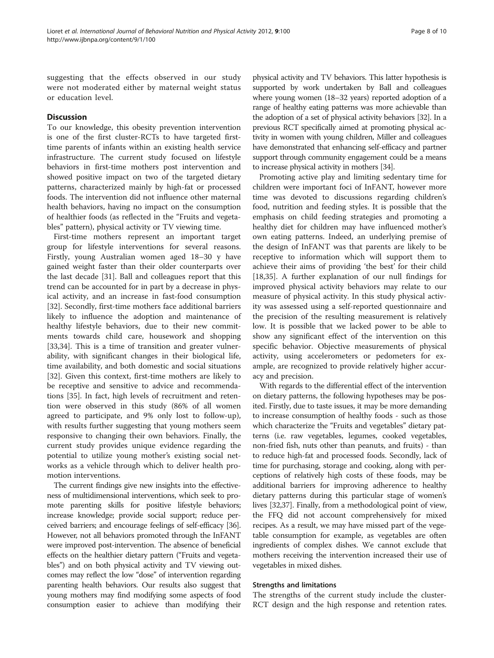suggesting that the effects observed in our study were not moderated either by maternal weight status or education level.

# Discussion

To our knowledge, this obesity prevention intervention is one of the first cluster-RCTs to have targeted firsttime parents of infants within an existing health service infrastructure. The current study focused on lifestyle behaviors in first-time mothers post intervention and showed positive impact on two of the targeted dietary patterns, characterized mainly by high-fat or processed foods. The intervention did not influence other maternal health behaviors, having no impact on the consumption of healthier foods (as reflected in the "Fruits and vegetables" pattern), physical activity or TV viewing time.

First-time mothers represent an important target group for lifestyle interventions for several reasons. Firstly, young Australian women aged 18–30 y have gained weight faster than their older counterparts over the last decade [[31](#page-9-0)]. Ball and colleagues report that this trend can be accounted for in part by a decrease in physical activity, and an increase in fast-food consumption [[32\]](#page-9-0). Secondly, first-time mothers face additional barriers likely to influence the adoption and maintenance of healthy lifestyle behaviors, due to their new commitments towards child care, housework and shopping [[33,34\]](#page-9-0). This is a time of transition and greater vulnerability, with significant changes in their biological life, time availability, and both domestic and social situations [[32\]](#page-9-0). Given this context, first-time mothers are likely to be receptive and sensitive to advice and recommendations [[35](#page-9-0)]. In fact, high levels of recruitment and retention were observed in this study (86% of all women agreed to participate, and 9% only lost to follow-up), with results further suggesting that young mothers seem responsive to changing their own behaviors. Finally, the current study provides unique evidence regarding the potential to utilize young mother's existing social networks as a vehicle through which to deliver health promotion interventions.

The current findings give new insights into the effectiveness of multidimensional interventions, which seek to promote parenting skills for positive lifestyle behaviors; increase knowledge; provide social support; reduce perceived barriers; and encourage feelings of self-efficacy [\[36](#page-9-0)]. However, not all behaviors promoted through the InFANT were improved post-intervention. The absence of beneficial effects on the healthier dietary pattern ("Fruits and vegetables") and on both physical activity and TV viewing outcomes may reflect the low "dose" of intervention regarding parenting health behaviors. Our results also suggest that young mothers may find modifying some aspects of food consumption easier to achieve than modifying their

physical activity and TV behaviors. This latter hypothesis is supported by work undertaken by Ball and colleagues where young women (18–32 years) reported adoption of a range of healthy eating patterns was more achievable than the adoption of a set of physical activity behaviors [\[32](#page-9-0)]. In a previous RCT specifically aimed at promoting physical activity in women with young children, Miller and colleagues have demonstrated that enhancing self-efficacy and partner support through community engagement could be a means to increase physical activity in mothers [[34](#page-9-0)].

Promoting active play and limiting sedentary time for children were important foci of InFANT, however more time was devoted to discussions regarding children's food, nutrition and feeding styles. It is possible that the emphasis on child feeding strategies and promoting a healthy diet for children may have influenced mother's own eating patterns. Indeed, an underlying premise of the design of InFANT was that parents are likely to be receptive to information which will support them to achieve their aims of providing 'the best' for their child [[18,35\]](#page-9-0). A further explanation of our null findings for improved physical activity behaviors may relate to our measure of physical activity. In this study physical activity was assessed using a self-reported questionnaire and the precision of the resulting measurement is relatively low. It is possible that we lacked power to be able to show any significant effect of the intervention on this specific behavior. Objective measurements of physical activity, using accelerometers or pedometers for example, are recognized to provide relatively higher accuracy and precision.

With regards to the differential effect of the intervention on dietary patterns, the following hypotheses may be posited. Firstly, due to taste issues, it may be more demanding to increase consumption of healthy foods - such as those which characterize the "Fruits and vegetables" dietary patterns (i.e. raw vegetables, legumes, cooked vegetables, non-fried fish, nuts other than peanuts, and fruits) - than to reduce high-fat and processed foods. Secondly, lack of time for purchasing, storage and cooking, along with perceptions of relatively high costs of these foods, may be additional barriers for improving adherence to healthy dietary patterns during this particular stage of women's lives [\[32,37](#page-9-0)]. Finally, from a methodological point of view, the FFQ did not account comprehensively for mixed recipes. As a result, we may have missed part of the vegetable consumption for example, as vegetables are often ingredients of complex dishes. We cannot exclude that mothers receiving the intervention increased their use of vegetables in mixed dishes.

# Strengths and limitations

The strengths of the current study include the cluster-RCT design and the high response and retention rates.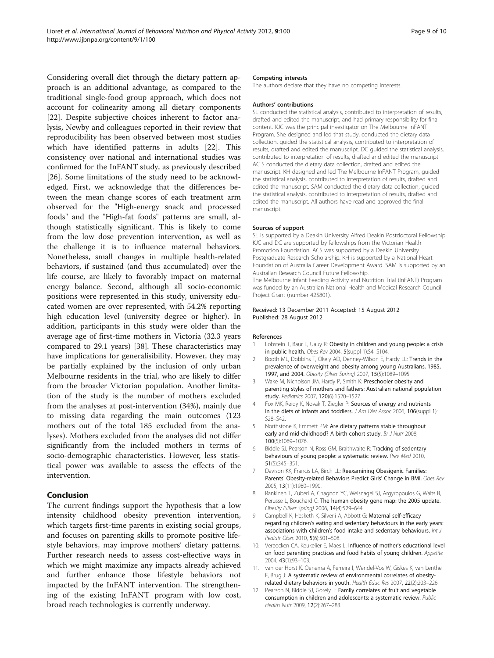<span id="page-8-0"></span>Considering overall diet through the dietary pattern approach is an additional advantage, as compared to the traditional single-food group approach, which does not account for colinearity among all dietary components [[22\]](#page-9-0). Despite subjective choices inherent to factor analysis, Newby and colleagues reported in their review that reproducibility has been observed between most studies which have identified patterns in adults [\[22\]](#page-9-0). This consistency over national and international studies was confirmed for the InFANT study, as previously described [[26\]](#page-9-0). Some limitations of the study need to be acknowledged. First, we acknowledge that the differences between the mean change scores of each treatment arm observed for the "High-energy snack and processed foods" and the "High-fat foods" patterns are small, although statistically significant. This is likely to come from the low dose prevention intervention, as well as the challenge it is to influence maternal behaviors. Nonetheless, small changes in multiple health-related behaviors, if sustained (and thus accumulated) over the life course, are likely to favorably impact on maternal energy balance. Second, although all socio-economic positions were represented in this study, university educated women are over represented, with 54.2% reporting high education level (university degree or higher). In addition, participants in this study were older than the average age of first-time mothers in Victoria (32.3 years compared to 29.1 years) [[38](#page-9-0)]. These characteristics may have implications for generalisibility. However, they may be partially explained by the inclusion of only urban Melbourne residents in the trial, who are likely to differ from the broader Victorian population. Another limitation of the study is the number of mothers excluded from the analyses at post-intervention (34%), mainly due to missing data regarding the main outcomes (123 mothers out of the total 185 excluded from the analyses). Mothers excluded from the analyses did not differ significantly from the included mothers in terms of socio-demographic characteristics. However, less statistical power was available to assess the effects of the intervention.

#### Conclusion

The current findings support the hypothesis that a low intensity childhood obesity prevention intervention, which targets first-time parents in existing social groups, and focuses on parenting skills to promote positive lifestyle behaviors, may improve mothers' dietary patterns. Further research needs to assess cost-effective ways in which we might maximize any impacts already achieved and further enhance those lifestyle behaviors not impacted by the InFANT intervention. The strengthening of the existing InFANT program with low cost, broad reach technologies is currently underway.

#### Competing interests

The authors declare that they have no competing interests.

#### Authors' contributions

SL conducted the statistical analysis, contributed to interpretation of results, drafted and edited the manuscript, and had primary responsibility for final content. KJC was the principal investigator on The Melbourne InFANT Program. She designed and led that study, conducted the dietary data collection, guided the statistical analysis, contributed to interpretation of results, drafted and edited the manuscript. DC guided the statistical analysis, contributed to interpretation of results, drafted and edited the manuscript. AC S conducted the dietary data collection, drafted and edited the manuscript. KH designed and led The Melbourne InFANT Program, guided the statistical analysis, contributed to interpretation of results, drafted and edited the manuscript. SAM conducted the dietary data collection, guided the statistical analysis, contributed to interpretation of results, drafted and edited the manuscript. All authors have read and approved the final manuscript.

#### Sources of support

SL is supported by a Deakin University Alfred Deakin Postdoctoral Fellowship. KJC and DC are supported by fellowships from the Victorian Health Promotion Foundation. ACS was supported by a Deakin University Postgraduate Research Scholarship. KH is supported by a National Heart Foundation of Australia Career Development Award. SAM is supported by an Australian Research Council Future Fellowship. The Melbourne Infant Feeding Activity and Nutrition Trial (InFANT) Program was funded by an Australian National Health and Medical Research Council Project Grant (number 425801).

#### Received: 13 December 2011 Accepted: 15 August 2012 Published: 28 August 2012

#### References

- 1. Lobstein T, Baur L, Uauy R: Obesity in children and young people: a crisis in public health. Obes Rev 2004, 5(suppl 1):S4–S104.
- 2. Booth ML, Dobbins T, Okely AD, Denney-Wilson E, Hardy LL: Trends in the prevalence of overweight and obesity among young Australians, 1985, 1997, and 2004. Obesity (Silver Spring) 2007, 15(5):1089–1095.
- 3. Wake M, Nicholson JM, Hardy P, Smith K: Preschooler obesity and parenting styles of mothers and fathers: Australian national population study. Pediatrics 2007, 120(6):1520–1527.
- 4. Fox MK, Reidy K, Novak T, Ziegler P: Sources of energy and nutrients in the diets of infants and toddlers. J Am Diet Assoc 2006, 106(suppl 1): S28–S42.
- 5. Northstone K, Emmett PM: Are dietary patterns stable throughout early and mid-childhood? A birth cohort study. Br J Nutr 2008, 100(5):1069–1076.
- 6. Biddle SJ, Pearson N, Ross GM, Braithwaite R: Tracking of sedentary behaviours of young people: a systematic review. Prev Med 2010, 51(5):345–351.
- 7. Davison KK, Francis LA, Birch LL: Reexamining Obesigenic Families: Parents' Obesity-related Behaviors Predict Girls' Change in BMI. Obes Rev 2005, 13(11):1980–1990.
- 8. Rankinen T, Zuberi A, Chagnon YC, Weisnagel SJ, Argyropoulos G, Walts B, Perusse L, Bouchard C: The human obesity gene map: the 2005 update. Obesity (Silver Spring) 2006, 14(4):529–644.
- 9. Campbell K, Hesketh K, Silverii A, Abbott G: Maternal self-efficacy regarding children's eating and sedentary behaviours in the early years: associations with children's food intake and sedentary behaviours. Int J Pediatr Obes 2010, 5(6):501–508.
- 10. Vereecken CA, Keukelier E, Maes L: Influence of mother's educational level on food parenting practices and food habits of young children. Appetite 2004, 43(1):93–103.
- 11. van der Horst K, Oenema A, Ferreira I, Wendel-Vos W, Giskes K, van Lenthe F, Brug J: A systematic review of environmental correlates of obesityrelated dietary behaviors in youth. Health Educ Res 2007, 22(2):203–226.
- 12. Pearson N, Biddle SJ, Gorely T: Family correlates of fruit and vegetable consumption in children and adolescents: a systematic review. Public Health Nutr 2009, 12(2):267–283.